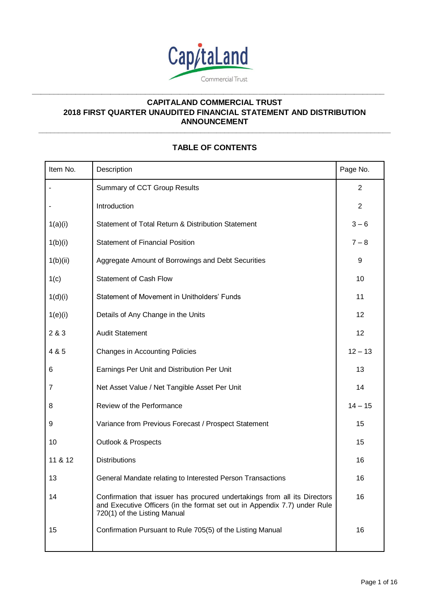

**\_\_\_\_\_\_\_\_\_\_\_\_\_\_\_\_\_\_\_\_\_\_\_\_\_\_\_\_\_\_\_\_\_\_\_\_\_\_\_\_\_\_\_\_\_\_\_\_\_\_\_\_\_\_\_\_\_\_\_\_\_\_\_\_\_\_\_\_\_\_\_\_\_\_\_\_\_\_\_\_\_**

# **CAPITALAND COMMERCIAL TRUST 2018 FIRST QUARTER UNAUDITED FINANCIAL STATEMENT AND DISTRIBUTION ANNOUNCEMENT**

**\_\_\_\_\_\_\_\_\_\_\_\_\_\_\_\_\_\_\_\_\_\_\_\_\_\_\_\_\_\_\_\_\_\_\_\_\_\_\_\_\_\_\_\_\_\_\_\_\_\_\_\_\_\_\_\_\_\_\_\_\_\_\_\_\_\_\_\_\_\_\_\_\_\_\_\_\_\_\_\_\_\_\_\_\_\_\_\_\_**

# **TABLE OF CONTENTS**

| Item No. | Description                                                                                                                                                                            | Page No.       |
|----------|----------------------------------------------------------------------------------------------------------------------------------------------------------------------------------------|----------------|
|          | Summary of CCT Group Results                                                                                                                                                           | $\overline{2}$ |
|          | Introduction                                                                                                                                                                           | $\overline{2}$ |
| 1(a)(i)  | Statement of Total Return & Distribution Statement                                                                                                                                     | $3 - 6$        |
| 1(b)(i)  | <b>Statement of Financial Position</b>                                                                                                                                                 | $7 - 8$        |
| 1(b)(ii) | Aggregate Amount of Borrowings and Debt Securities                                                                                                                                     | 9              |
| 1(c)     | <b>Statement of Cash Flow</b>                                                                                                                                                          | 10             |
| 1(d)(i)  | Statement of Movement in Unitholders' Funds                                                                                                                                            | 11             |
| 1(e)(i)  | Details of Any Change in the Units                                                                                                                                                     | 12             |
| 2 & 3    | <b>Audit Statement</b>                                                                                                                                                                 | 12             |
| 4 & 5    | <b>Changes in Accounting Policies</b>                                                                                                                                                  | $12 - 13$      |
| 6        | Earnings Per Unit and Distribution Per Unit                                                                                                                                            | 13             |
| 7        | Net Asset Value / Net Tangible Asset Per Unit                                                                                                                                          | 14             |
| 8        | Review of the Performance                                                                                                                                                              | $14 - 15$      |
| 9        | Variance from Previous Forecast / Prospect Statement                                                                                                                                   | 15             |
| 10       | <b>Outlook &amp; Prospects</b>                                                                                                                                                         | 15             |
| 11 & 12  | <b>Distributions</b>                                                                                                                                                                   | 16             |
| 13       | General Mandate relating to Interested Person Transactions                                                                                                                             | 16             |
| 14       | Confirmation that issuer has procured undertakings from all its Directors<br>and Executive Officers (in the format set out in Appendix 7.7) under Rule<br>720(1) of the Listing Manual | 16             |
| 15       | Confirmation Pursuant to Rule 705(5) of the Listing Manual                                                                                                                             | 16             |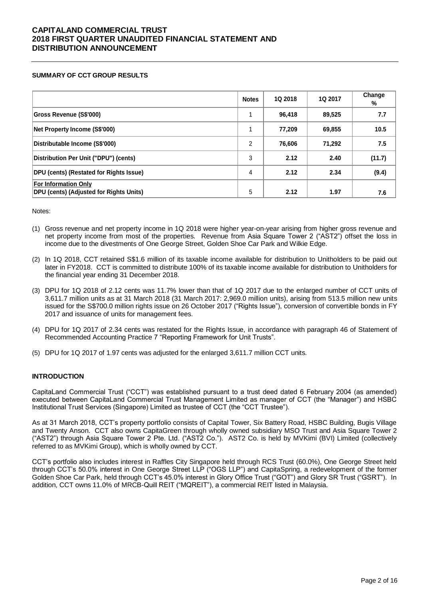#### **SUMMARY OF CCT GROUP RESULTS**

|                                                                               | <b>Notes</b>   | 1Q 2018 | 1Q 2017 | Change<br>% |
|-------------------------------------------------------------------------------|----------------|---------|---------|-------------|
| <b>Gross Revenue (S\$'000)</b>                                                |                | 96.418  | 89,525  | 7.7         |
| Net Property Income (S\$'000)                                                 |                | 77,209  | 69,855  | 10.5        |
| Distributable Income (S\$'000)                                                | $\overline{2}$ | 76,606  | 71,292  | 7.5         |
| Distribution Per Unit ("DPU") (cents)                                         | 3              | 2.12    | 2.40    | (11.7)      |
| <b>DPU (cents) (Restated for Rights Issue)</b>                                | 4              | 2.12    | 2.34    | (9.4)       |
| <b>For Information Only</b><br><b>DPU (cents) (Adjusted for Rights Units)</b> | 5              | 2.12    | 1.97    | 7.6         |

Notes:

- (1) Gross revenue and net property income in 1Q 2018 were higher year-on-year arising from higher gross revenue and net property income from most of the properties. Revenue from Asia Square Tower 2 ("AST2") offset the loss in income due to the divestments of One George Street, Golden Shoe Car Park and Wilkie Edge.
- (2) In 1Q 2018, CCT retained S\$1.6 million of its taxable income available for distribution to Unitholders to be paid out later in FY2018. CCT is committed to distribute 100% of its taxable income available for distribution to Unitholders for the financial year ending 31 December 2018.
- (3) DPU for 1Q 2018 of 2.12 cents was 11.7% lower than that of 1Q 2017 due to the enlarged number of CCT units of 3,611.7 million units as at 31 March 2018 (31 March 2017: 2,969.0 million units), arising from 513.5 million new units issued for the S\$700.0 million rights issue on 26 October 2017 ("Rights Issue"), conversion of convertible bonds in FY 2017 and issuance of units for management fees.
- (4) DPU for 1Q 2017 of 2.34 cents was restated for the Rights Issue, in accordance with paragraph 46 of Statement of Recommended Accounting Practice 7 "Reporting Framework for Unit Trusts".
- (5) DPU for 1Q 2017 of 1.97 cents was adjusted for the enlarged 3,611.7 million CCT units.

### **INTRODUCTION**

CapitaLand Commercial Trust ("CCT") was established pursuant to a trust deed dated 6 February 2004 (as amended) executed between CapitaLand Commercial Trust Management Limited as manager of CCT (the "Manager") and HSBC Institutional Trust Services (Singapore) Limited as trustee of CCT (the "CCT Trustee").

As at 31 March 2018, CCT's property portfolio consists of Capital Tower, Six Battery Road, HSBC Building, Bugis Village and Twenty Anson. CCT also owns CapitaGreen through wholly owned subsidiary MSO Trust and Asia Square Tower 2 ("AST2") through Asia Square Tower 2 Pte. Ltd. ("AST2 Co."). AST2 Co. is held by MVKimi (BVI) Limited (collectively referred to as MVKimi Group), which is wholly owned by CCT.

CCT's portfolio also includes interest in Raffles City Singapore held through RCS Trust (60.0%), One George Street held through CCT's 50.0% interest in One George Street LLP ("OGS LLP") and CapitaSpring, a redevelopment of the former Golden Shoe Car Park, held through CCT's 45.0% interest in Glory Office Trust ("GOT") and Glory SR Trust ("GSRT"). In addition, CCT owns 11.0% of MRCB-Quill REIT ("MQREIT"), a commercial REIT listed in Malaysia.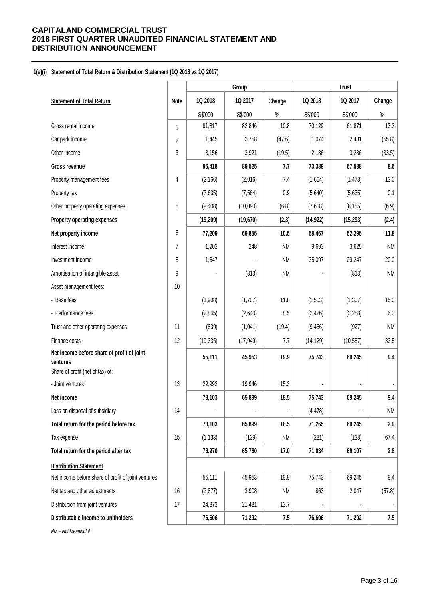#### **1(a)(i) Statement of Total Return & Distribution Statement (1Q 2018 vs 1Q 2017)**

|                                                        |                |           | Group     |                |           | <b>Trust</b> |           |
|--------------------------------------------------------|----------------|-----------|-----------|----------------|-----------|--------------|-----------|
| <b>Statement of Total Return</b>                       | <b>Note</b>    | 1Q 2018   | 1Q 2017   | Change         | 1Q 2018   | 1Q 2017      | Change    |
|                                                        |                | S\$'000   | S\$'000   | $\%$           | S\$'000   | S\$'000      | $\%$      |
| Gross rental income                                    | 1              | 91,817    | 82,846    | 10.8           | 70,129    | 61,871       | 13.3      |
| Car park income                                        | $\overline{2}$ | 1,445     | 2,758     | (47.6)         | 1,074     | 2,431        | (55.8)    |
| Other income                                           | 3              | 3,156     | 3,921     | (19.5)         | 2,186     | 3,286        | (33.5)    |
| Gross revenue                                          |                | 96,418    | 89,525    | 7.7            | 73,389    | 67,588       | 8.6       |
| Property management fees                               | 4              | (2, 166)  | (2,016)   | 7.4            | (1,664)   | (1, 473)     | 13.0      |
| Property tax                                           |                | (7,635)   | (7, 564)  | 0.9            | (5,640)   | (5,635)      | 0.1       |
| Other property operating expenses                      | 5              | (9,408)   | (10,090)  | (6.8)          | (7,618)   | (8, 185)     | (6.9)     |
| Property operating expenses                            |                | (19, 209) | (19, 670) | (2.3)          | (14, 922) | (15, 293)    | (2.4)     |
| Net property income                                    | 6              | 77,209    | 69,855    | 10.5           | 58,467    | 52,295       | 11.8      |
| Interest income                                        | 7              | 1,202     | 248       | <b>NM</b>      | 9,693     | 3,625        | <b>NM</b> |
| Investment income                                      | 8              | 1,647     |           | <b>NM</b>      | 35,097    | 29,247       | 20.0      |
| Amortisation of intangible asset                       | 9              |           | (813)     | <b>NM</b>      |           | (813)        | <b>NM</b> |
| Asset management fees:                                 | 10             |           |           |                |           |              |           |
| - Base fees                                            |                | (1,908)   | (1,707)   | 11.8           | (1,503)   | (1, 307)     | 15.0      |
| - Performance fees                                     |                | (2,865)   | (2,640)   | 8.5            | (2, 426)  | (2, 288)     | $6.0\,$   |
| Trust and other operating expenses                     | 11             | (839)     | (1,041)   | (19.4)         | (9, 456)  | (927)        | <b>NM</b> |
| Finance costs                                          | 12             | (19, 335) | (17, 949) | 7.7            | (14, 129) | (10, 587)    | 33.5      |
| Net income before share of profit of joint<br>ventures |                | 55,111    | 45,953    | 19.9           | 75,743    | 69,245       | 9.4       |
| Share of profit (net of tax) of:                       |                |           |           |                |           |              |           |
| - Joint ventures                                       | 13             | 22,992    | 19,946    | 15.3           |           |              |           |
| Net income                                             |                | 78,103    | 65,899    | 18.5           | 75,743    | 69,245       | 9.4       |
| Loss on disposal of subsidiary                         | 14             |           |           | $\blacksquare$ | (4, 478)  |              | <b>NM</b> |
| Total return for the period before tax                 |                | 78,103    | 65,899    | 18.5           | 71,265    | 69,245       | 2.9       |
| Tax expense                                            | 15             | (1, 133)  | (139)     | <b>NM</b>      | (231)     | (138)        | 67.4      |
| Total return for the period after tax                  |                | 76,970    | 65,760    | 17.0           | 71,034    | 69,107       | 2.8       |
| <b>Distribution Statement</b>                          |                |           |           |                |           |              |           |
| Net income before share of profit of joint ventures    |                | 55,111    | 45,953    | 19.9           | 75,743    | 69,245       | 9.4       |
| Net tax and other adjustments                          | 16             | (2, 877)  | 3,908     | <b>NM</b>      | 863       | 2,047        | (57.8)    |
| Distribution from joint ventures                       | 17             | 24,372    | 21,431    | 13.7           |           |              |           |
| Distributable income to unitholders                    |                | 76,606    | 71,292    | 7.5            | 76,606    | 71,292       | 7.5       |
| NM - Not Meaningful                                    |                |           |           |                |           |              |           |

Page 3 of 16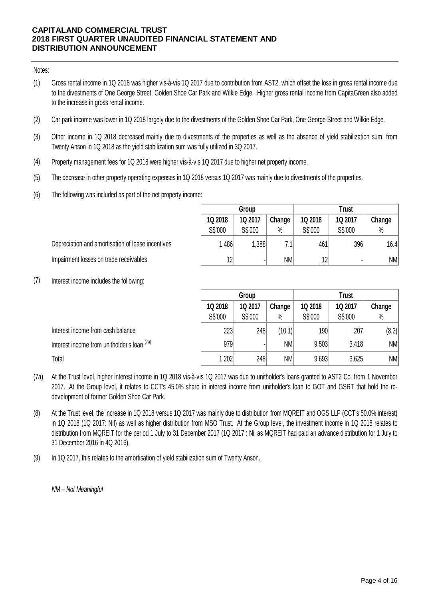### Notes:

- (1) Gross rental income in 1Q 2018 was higher vis-à-vis 1Q 2017 due to contribution from AST2, which offset the loss in gross rental income due to the divestments of One George Street, Golden Shoe Car Park and Wilkie Edge. Higher gross rental income from CapitaGreen also added to the increase in gross rental income.
- (2) Car park income was lower in 1Q 2018 largely due to the divestments of the Golden Shoe Car Park, One George Street and Wilkie Edge.
- (3) Other income in 1Q 2018 decreased mainly due to divestments of the properties as well as the absence of yield stabilization sum, from Twenty Anson in 1Q 2018 as the yield stabilization sum was fully utilized in 3Q 2017.
- (4) Property management fees for 1Q 2018 were higher vis-à-vis 1Q 2017 due to higher net property income.
- (5) The decrease in other property operating expenses in 1Q 2018 versus 1Q 2017 was mainly due to divestments of the properties.
- (6) The following was included as part of the net property income:

| Depreciation and amortisation of lease incentives |
|---------------------------------------------------|
| Impairment losses on trade receivables            |

|         | Group   |           |         | <b>Trust</b> |        |
|---------|---------|-----------|---------|--------------|--------|
| 1Q 2018 | 1Q 2017 | Change    | 1Q 2018 | 1Q 2017      | Change |
| S\$'000 | S\$'000 | $\%$      | S\$'000 | S\$'000      | $\%$   |
| 1,486   | 1,388   | 7.1       | 461     | 396          | 16.4   |
| 12      |         | <b>NM</b> | 12      | ٠            | NM     |

(7) Interest income includes the following:

|                                                                                                                                                                                                                                                                                    |         | Group   |           | <b>Trust</b> |         |        |  |
|------------------------------------------------------------------------------------------------------------------------------------------------------------------------------------------------------------------------------------------------------------------------------------|---------|---------|-----------|--------------|---------|--------|--|
|                                                                                                                                                                                                                                                                                    | 1Q 2018 | 1Q 2017 | Change    | 1Q 2018      | 1Q 2017 | Change |  |
|                                                                                                                                                                                                                                                                                    | S\$'000 | S\$'000 | $\%$      | S\$'000      | S\$'000 | %      |  |
| Interest income from cash balance                                                                                                                                                                                                                                                  | 223     | 248     | (10.1)    | 190          | 207     | (8.2)  |  |
| Interest income from unitholder's loan (7a)                                                                                                                                                                                                                                        | 979     |         | <b>NM</b> | 9,503        | 3,418   | NM     |  |
| Total                                                                                                                                                                                                                                                                              | 1,202   | 248     | NM        | 9,693        | 3,625   | NM     |  |
| At the Trust level, higher interest income in 1Q 2018 vis-à-vis 1Q 2017 was due to unitholder's loans granted to AST2 Co. from 1 November<br>2017. At the Group level, it relates to CCT's 45.0% share in interest income from unitholder's loan to GOT and GSRT that hold the re- |         |         |           |              |         |        |  |

- (7a) 2017. At the Trust level, higher interest income in 1Q 2018 vis-à-vis 1Q 2017 was due to unitholder's loans granted to AST2 Co. from 1 November 2017. At the Group level, it relates to CCT's 45.0% share in interest income f development of former Golden Shoe Car Park. 2017. At the Group level, it relates to CCT's 45.0% share in interest income from unitholder's loan to GOT and GSRT that hold the re-<br>development of former Golden Shoe Car Park.<br>At the Trust level, the increase in 1Q 2018
- (8) in 1Q 2018 (1Q 2017: Nil) as well as higher distribution from MSO Trust. At the Group level, the investment income in 1Q 2018 relates to distribution from MQREIT for the period 1 July to 31 December 2017 (1Q 2017 : Nil as MQREIT had paid an advance distribution for 1 July to 31 December 2016 in 4Q 2016).
- (9) In 1Q 2017, this relates to the amortisation of yield stabilization sum of Twenty Anson.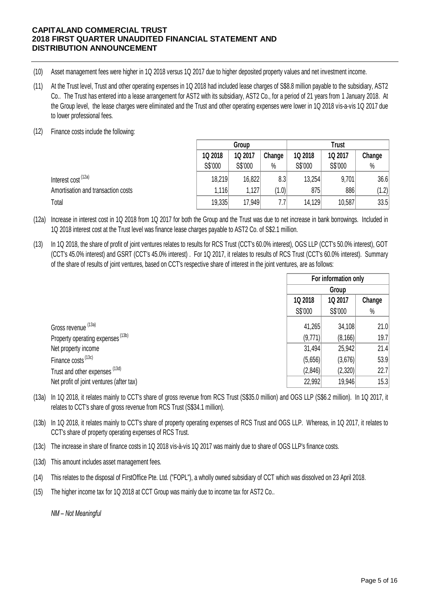- (10) Asset management fees were higher in 1Q 2018 versus 1Q 2017 due to higher deposited property values and net investment income.
- (11) At the Trust level, Trust and other operating expenses in 1Q 2017 due to higher deposited property values and net investment income.<br>At the Trust level, Trust and other operating expenses in 1Q 2018 had included lease char Co.. The Trust has entered into a lease arrangement for AST2 with its subsidiary, AST2 Co., for a period of 21 years from 1 January 2018. At Asset management fees were higher in 1Q 2018 versus 1Q 2017 due to higher deposited property values and net investment income.<br>At the Trust level, Trust and other operating expenses in 1Q 2018 had included lease charges of to lower professional fees.
- (12) Finance costs include the following:

|                                                                                                                                                                                                                                                         |         | Trust<br>Group |        |         |         |        |
|---------------------------------------------------------------------------------------------------------------------------------------------------------------------------------------------------------------------------------------------------------|---------|----------------|--------|---------|---------|--------|
|                                                                                                                                                                                                                                                         | 1Q 2018 | 1Q 2017        | Change | 1Q 2018 | 1Q 2017 | Change |
|                                                                                                                                                                                                                                                         | S\$'000 | S\$'000        | $\%$   | S\$'000 | S\$'000 | $\%$   |
| Interest cost <sup>(12a)</sup>                                                                                                                                                                                                                          | 18,219  | 16,822         | 8.3    | 13,254  | 9,701   | 36.6   |
| Amortisation and transaction costs                                                                                                                                                                                                                      | 1,116   | 1,127          | (1.0)  | 875     | 886     | (1.2)  |
| Total                                                                                                                                                                                                                                                   | 19,335  | 17.949         | 7.7    | 14,129  | 10,587  | 33.5   |
| Increase in interest cost in 1Q 2018 from 1Q 2017 for both the Group and the Trust was due to net increase in bank borrowings. Included in<br>1Q 2018 interest cost at the Trust level was finance lease charges payable to AST2 Co. of S\$2.1 million. |         |                |        |         |         |        |

- (12a) 1Q 2018 interest cost at the Trust level was finance lease charges payable to AST2 Co. of S\$2.1 million.
- (13) In 1Q 2018, the share of profit of joint ventures relates to results for RCS Trust (CCT's 60.0% interest), OGS LLP (CCT's 50.0% interest), GOT Increase in interest cost in 1Q 2018 from 1Q 2017 for both the Group and the Trust was due to net increase in bank borrowings. Included in<br>1Q 2018 interest cost at the Trust level was finance lease charges payable to AST2 of the share of results of joint ventures, based on CCT's respective share of interest in the joint ventures, are as follows:

|                                                                                                                                                                                                                          | For information only |          |        |
|--------------------------------------------------------------------------------------------------------------------------------------------------------------------------------------------------------------------------|----------------------|----------|--------|
|                                                                                                                                                                                                                          |                      | Group    |        |
|                                                                                                                                                                                                                          | 1Q 2018              | 1Q 2017  | Change |
|                                                                                                                                                                                                                          | S\$'000              | S\$'000  | %      |
| Gross revenue (13a)                                                                                                                                                                                                      | 41,265               | 34,108   | 21.0   |
| Property operating expenses <sup>(13b)</sup>                                                                                                                                                                             | (9,771)              | (8, 166) | 19.7   |
| Net property income                                                                                                                                                                                                      | 31,494               | 25,942   | 21.4   |
| Finance costs <sup>(13c)</sup>                                                                                                                                                                                           | (5,656)              | (3,676)  | 53.9   |
| Trust and other expenses (13d)                                                                                                                                                                                           | (2,846)              | (2,320)  | 22.7   |
| Net profit of joint ventures (after tax)                                                                                                                                                                                 | 22,992               | 19,946   | 15.3   |
| In 1Q 2018, it relates mainly to CCT's share of gross revenue from RCS Trust (S\$35.0 million) and OGS LLP (S\$6.2 million). In 1Q 2017, it<br>relates to CCT's share of gross revenue from RCS Trust (S\$34.1 million). |                      |          |        |

- (13a) In 1Q 2018, it relates mainly to CCT's share of gross revenue from RCS Trust (S\$35.0 million) and OGS LLP (S\$6.2 million). In 1Q 2017, it<br>relates to CCT's share of gross revenue from RCS Trust (S\$34.1 million).<br>In 1Q 2018, relates to CCT's share of gross revenue from RCS Trust (S\$34.1 million).
- (13b) In 1Q 2018, it relates mainly to CCT's share of property operating expenses of RCS Trust and OGS LLP. Whereas, in 1Q 2017, it relates to CCT's share of property operating expenses of RCS Trust.
- (13c) The increase in share of finance costs in 1Q 2018 vis-à-vis 1Q 2017 was mainly due to share of OGS LLP's finance costs.
- (13d) This amount includes asset management fees.
- (14) This relates to the disposal of FirstOffice Pte. Ltd. ("FOPL"), a wholly owned subsidiary of CCT which was dissolved on 23 April 2018.
- (15) The higher income tax for 1Q 2018 at CCT Group was mainly due to income tax for AST2 Co..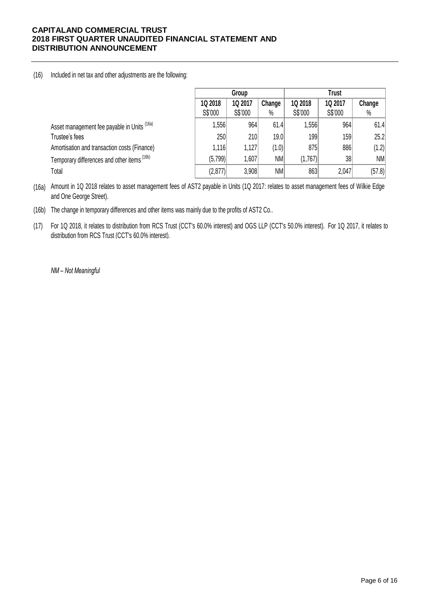### (16) Included in net tax and other adjustments are the following:

|                                              | Group   |         |           | <b>Trust</b> |         |        |
|----------------------------------------------|---------|---------|-----------|--------------|---------|--------|
|                                              | 1Q 2018 | 1Q 2017 | Change    | 1Q 2018      | 1Q 2017 | Change |
|                                              | S\$'000 | S\$'000 | %         | S\$'000      | S\$'000 | $\%$   |
| Asset management fee payable in Units (16a)  | ,556    | 964     | 61.4      | 1,556        | 964     | 61.4   |
| Trustee's fees                               | 250     | 210     | 19.0      | 199          | 159     | 25.2   |
| Amortisation and transaction costs (Finance) | 1,116   | 1,127   | (1.0)     | 875          | 886     | (1.2)  |
| Temporary differences and other items (16b)  | (5,799) | 1,607   | <b>NM</b> | (1,767)      | 38      | NM     |
| Total                                        | (2,877) | 3,908   | <b>NM</b> | 863          | 2,047   | (57.8) |

(16a) Amount in 1Q 2018 relates to asset management fees of AST2 payable in Units (1Q 2017: relates to asset management fees of Wilkie Edge and One George Street).

(16b) The change in temporary differences and other items was mainly due to the profits of AST2 Co..

(17) For 1Q 2018, it relates to distribution from RCS Trust (CCT's 60.0% interest) and OGS LLP (CCT's 50.0% interest). For 1Q 2017, it relates to distribution from RCS Trust (CCT's 60.0% interest).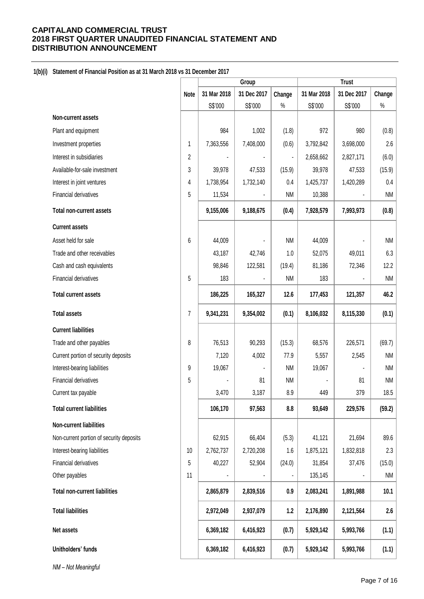# **1(b)(i) Statement of Financial Position as at 31 March 2018 vs 31 December 2017**

|                                          |             | Group       |             | <b>Trust</b> |             |             |               |
|------------------------------------------|-------------|-------------|-------------|--------------|-------------|-------------|---------------|
|                                          | <b>Note</b> | 31 Mar 2018 | 31 Dec 2017 | Change       | 31 Mar 2018 | 31 Dec 2017 | Change        |
|                                          |             | S\$'000     | S\$'000     | $\%$         | S\$'000     | S\$'000     | $\%$          |
| Non-current assets                       |             |             |             |              |             |             |               |
| Plant and equipment                      |             | 984         | 1,002       | (1.8)        | 972         | 980         | (0.8)         |
| Investment properties                    | 1           | 7,363,556   | 7,408,000   | (0.6)        | 3,792,842   | 3,698,000   | 2.6           |
| Interest in subsidiaries                 | 2           |             |             |              | 2,658,662   | 2,827,171   | (6.0)         |
| Available-for-sale investment            | 3           | 39,978      | 47,533      | (15.9)       | 39,978      | 47,533      | (15.9)        |
| Interest in joint ventures               | 4           | 1,738,954   | 1,732,140   | 0.4          | 1,425,737   | 1,420,289   | 0.4           |
| Financial derivatives                    | 5           | 11,534      |             | <b>NM</b>    | 10,388      |             | <b>NM</b>     |
| <b>Total non-current assets</b>          |             | 9,155,006   | 9,188,675   | (0.4)        | 7,928,579   | 7,993,973   | (0.8)         |
| <b>Current assets</b>                    |             |             |             |              |             |             |               |
| Asset held for sale                      | 6           | 44,009      |             | <b>NM</b>    | 44,009      |             | $\mathsf{NM}$ |
| Trade and other receivables              |             | 43,187      | 42,746      | 1.0          | 52,075      | 49,011      | 6.3           |
| Cash and cash equivalents                |             | 98,846      | 122,581     | (19.4)       | 81,186      | 72,346      | 12.2          |
| Financial derivatives                    | 5           | 183         |             | <b>NM</b>    | 183         |             | <b>NM</b>     |
| <b>Total current assets</b>              |             | 186,225     | 165,327     | 12.6         | 177,453     | 121,357     | 46.2          |
| <b>Total assets</b>                      | 7           | 9,341,231   | 9,354,002   | (0.1)        | 8,106,032   | 8,115,330   | (0.1)         |
| <b>Current liabilities</b>               |             |             |             |              |             |             |               |
| Trade and other payables                 | 8           | 76,513      | 90,293      | (15.3)       | 68,576      | 226,571     | (69.7)        |
| Current portion of security deposits     |             | 7,120       | 4,002       | 77.9         | 5,557       | 2,545       | <b>NM</b>     |
| Interest-bearing liabilities             | 9           | 19,067      |             | <b>NM</b>    | 19,067      |             | <b>NM</b>     |
| Financial derivatives                    | 5           |             | 81          | <b>NM</b>    |             | 81          | <b>NM</b>     |
| Current tax payable                      |             | 3,470       | 3,187       | 8.9          | 449         | 379         | 18.5          |
| <b>Total current liabilities</b>         |             | 106,170     | 97,563      | 8.8          | 93,649      | 229,576     | (59.2)        |
| <b>Non-current liabilities</b>           |             |             |             |              |             |             |               |
| Non-current portion of security deposits |             | 62,915      | 66,404      | (5.3)        | 41,121      | 21,694      | 89.6          |
| Interest-bearing liabilities             | 10          | 2,762,737   | 2,720,208   | 1.6          | 1,875,121   | 1,832,818   | 2.3           |
| Financial derivatives                    | 5           | 40,227      | 52,904      | (24.0)       | 31,854      | 37,476      | (15.0)        |
| Other payables                           | 11          |             |             |              | 135,145     |             | NM            |
| <b>Total non-current liabilities</b>     |             | 2,865,879   | 2,839,516   | 0.9          | 2,083,241   | 1,891,988   | 10.1          |
| <b>Total liabilities</b>                 |             | 2,972,049   | 2,937,079   | 1.2          | 2,176,890   | 2,121,564   | 2.6           |
| Net assets                               |             | 6,369,182   | 6,416,923   | (0.7)        | 5,929,142   | 5,993,766   | (1.1)         |
| Unitholders' funds                       |             | 6,369,182   | 6,416,923   | (0.7)        | 5,929,142   | 5,993,766   | (1.1)         |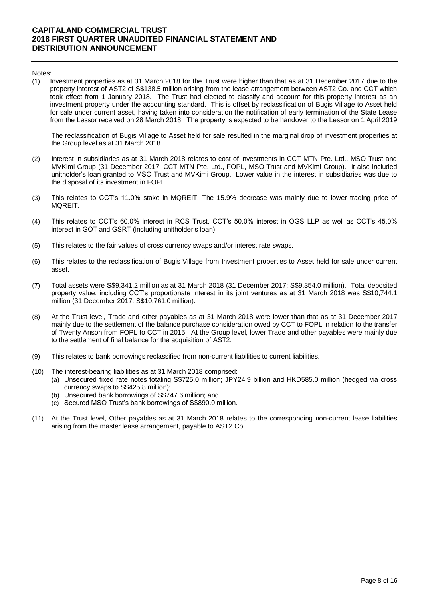#### Notes:

(1) Investment properties as at 31 March 2018 for the Trust were higher than that as at 31 December 2017 due to the property interest of AST2 of S\$138.5 million arising from the lease arrangement between AST2 Co. and CCT which took effect from 1 January 2018. The Trust had elected to classify and account for this property interest as an investment property under the accounting standard. This is offset by reclassification of Bugis Village to Asset held for sale under current asset, having taken into consideration the notification of early termination of the State Lease from the Lessor received on 28 March 2018. The property is expected to be handover to the Lessor on 1 April 2019.

The reclassification of Bugis Village to Asset held for sale resulted in the marginal drop of investment properties at the Group level as at 31 March 2018.

- (2) Interest in subsidiaries as at 31 March 2018 relates to cost of investments in CCT MTN Pte. Ltd., MSO Trust and MVKimi Group (31 December 2017: CCT MTN Pte. Ltd., FOPL, MSO Trust and MVKimi Group). It also included unitholder's loan granted to MSO Trust and MVKimi Group. Lower value in the interest in subsidiaries was due to the disposal of its investment in FOPL.
- (3) This relates to CCT's 11.0% stake in MQREIT. The 15.9% decrease was mainly due to lower trading price of MQREIT.
- (4) This relates to CCT's 60.0% interest in RCS Trust, CCT's 50.0% interest in OGS LLP as well as CCT's 45.0% interest in GOT and GSRT (including unitholder's loan).
- (5) This relates to the fair values of cross currency swaps and/or interest rate swaps.
- (6) This relates to the reclassification of Bugis Village from Investment properties to Asset held for sale under current asset.
- (7) Total assets were S\$9,341.2 million as at 31 March 2018 (31 December 2017: S\$9,354.0 million). Total deposited property value, including CCT's proportionate interest in its joint ventures as at 31 March 2018 was S\$10,744.1 million (31 December 2017: S\$10,761.0 million).
- (8) At the Trust level, Trade and other payables as at 31 March 2018 were lower than that as at 31 December 2017 mainly due to the settlement of the balance purchase consideration owed by CCT to FOPL in relation to the transfer of Twenty Anson from FOPL to CCT in 2015. At the Group level, lower Trade and other payables were mainly due to the settlement of final balance for the acquisition of AST2.
- (9) This relates to bank borrowings reclassified from non-current liabilities to current liabilities.
- (10) The interest-bearing liabilities as at 31 March 2018 comprised:
	- (a) Unsecured fixed rate notes totaling S\$725.0 million; JPY24.9 billion and HKD585.0 million (hedged via cross currency swaps to S\$425.8 million);
	- (b) Unsecured bank borrowings of S\$747.6 million; and
	- (c) Secured MSO Trust's bank borrowings of S\$890.0 million.
- (11) At the Trust level, Other payables as at 31 March 2018 relates to the corresponding non-current lease liabilities arising from the master lease arrangement, payable to AST2 Co..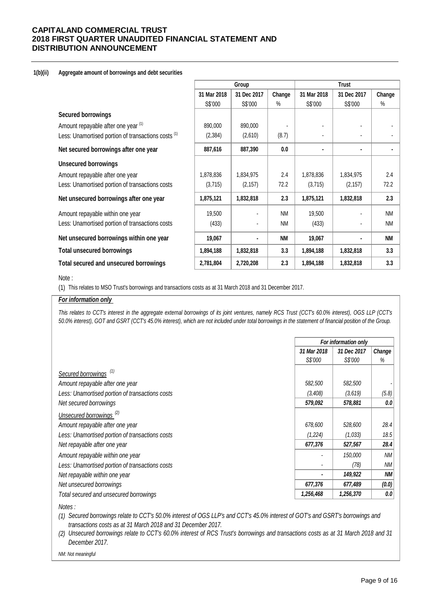#### **1(b)(ii) Aggregate amount of borrowings and debt securities**

|                                                                |             | Group          |           |             | <b>Trust</b> |           |  |
|----------------------------------------------------------------|-------------|----------------|-----------|-------------|--------------|-----------|--|
|                                                                | 31 Mar 2018 | 31 Dec 2017    | Change    | 31 Mar 2018 | 31 Dec 2017  | Change    |  |
|                                                                | S\$'000     | S\$'000        | $\%$      | S\$'000     | S\$'000      | $\%$      |  |
| <b>Secured borrowings</b>                                      |             |                |           |             |              |           |  |
| Amount repayable after one year (1)                            | 890,000     | 890,000        |           |             |              |           |  |
| Less: Unamortised portion of transactions costs <sup>(1)</sup> | (2, 384)    | (2,610)        | (8.7)     |             |              |           |  |
| Net secured borrowings after one year                          | 887,616     | 887,390        | 0.0       |             | ٠            |           |  |
| <b>Unsecured borrowings</b>                                    |             |                |           |             |              |           |  |
| Amount repayable after one year                                | 1,878,836   | 1,834,975      | 2.4       | 1,878,836   | 1,834,975    | 2.4       |  |
| Less: Unamortised portion of transactions costs                | (3,715)     | (2, 157)       | 72.2      | (3,715)     | (2, 157)     | 72.2      |  |
| Net unsecured borrowings after one year                        | 1,875,121   | 1,832,818      | 2.3       | 1,875,121   | 1,832,818    | 2.3       |  |
| Amount repayable within one year                               | 19,500      | $\blacksquare$ | <b>NM</b> | 19,500      |              | <b>NM</b> |  |
| Less: Unamortised portion of transactions costs                | (433)       |                | <b>NM</b> | (433)       |              | <b>NM</b> |  |
| Net unsecured borrowings within one year                       | 19,067      |                | <b>NM</b> | 19,067      |              | <b>NM</b> |  |
| <b>Total unsecured borrowings</b>                              | 1,894,188   | 1,832,818      | 3.3       | 1,894,188   | 1,832,818    | 3.3       |  |
| Total secured and unsecured borrowings                         | 2,781,804   | 2,720,208      | 2.3       | 1,894,188   | 1,832,818    | 3.3       |  |

### Note :

(1) This relates to MSO Trust's borrowings and transactions costs as at 31 March 2018 and 31 December 2017.

### *For information only*

This relates to CCT's interest in the aggregate external borrowings of its joint ventures, namely RCS Trust (CCT's 60.0% interest), OGS LLP (CCT's *50.0% interest), GOT and GSRT (CCT's 45.0% interest), which are not included under total borrowings in the statement of financial position of the Group.*

|                                                 |             | For information only |           |  |  |
|-------------------------------------------------|-------------|----------------------|-----------|--|--|
|                                                 | 31 Mar 2018 | 31 Dec 2017          | Change    |  |  |
|                                                 | S\$'000     | S\$'000              | %         |  |  |
| Secured borrowings <sup>(1)</sup>               |             |                      |           |  |  |
| Amount repayable after one year                 | 582,500     | 582,500              |           |  |  |
| Less: Unamortised portion of transactions costs | (3,408)     | (3,619)              | (5.8)     |  |  |
| Net secured borrowings                          | 579,092     | 578,881              | 0.0       |  |  |
| Unsecured borrowings <sup>(2)</sup>             |             |                      |           |  |  |
| Amount repayable after one year                 | 678,600     | 528,600              | 28.4      |  |  |
| Less: Unamortised portion of transactions costs | (1,224)     | (1,033)              | 18.5      |  |  |
| Net repayable after one year                    | 677,376     | 527,567              | 28.4      |  |  |
| Amount repayable within one year                |             | 150,000              | NМ        |  |  |
| Less: Unamortised portion of transactions costs |             | (78)                 | ΝM        |  |  |
| Net repayable within one year                   | ٠           | 149,922              | <b>NM</b> |  |  |
| Net unsecured borrowings                        | 677,376     | 677,489              | (0.0)     |  |  |
| Total secured and unsecured borrowings          | 1,256,468   | 1,256,370            | 0.0       |  |  |
|                                                 |             |                      |           |  |  |

*Notes :*

*(1) Secured borrowings relate to CCT's 50.0% interest of OGS LLP's and CCT's 45.0% interest of GOT's and GSRT's borrowings and transactions costs as at 31 March 2018 and 31 December 2017.* 

(2) Unsecured borrowings relate to CCT's 60.0% interest of RCS Trust's borrowings and transactions costs as at 31 March 2018 and 31 *December 2017.*

*NM: Not meaningful*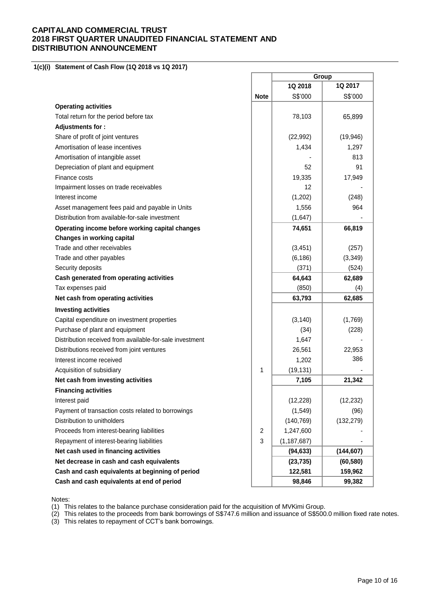**1(c)(i) Statement of Cash Flow (1Q 2018 vs 1Q 2017)** 

|                                                          |             | Group         |            |  |
|----------------------------------------------------------|-------------|---------------|------------|--|
|                                                          |             | 1Q 2018       | 1Q 2017    |  |
|                                                          | <b>Note</b> | S\$'000       | S\$'000    |  |
| <b>Operating activities</b>                              |             |               |            |  |
| Total return for the period before tax                   |             | 78,103        | 65,899     |  |
| Adjustments for:                                         |             |               |            |  |
| Share of profit of joint ventures                        |             | (22, 992)     | (19, 946)  |  |
| Amortisation of lease incentives                         |             | 1,434         | 1,297      |  |
| Amortisation of intangible asset                         |             |               | 813        |  |
| Depreciation of plant and equipment                      |             | 52            | 91         |  |
| Finance costs                                            |             | 19,335        | 17,949     |  |
| Impairment losses on trade receivables                   |             | 12            |            |  |
| Interest income                                          |             | (1,202)       | (248)      |  |
| Asset management fees paid and payable in Units          |             | 1,556         | 964        |  |
| Distribution from available-for-sale investment          |             | (1,647)       |            |  |
| Operating income before working capital changes          |             | 74,651        | 66,819     |  |
| Changes in working capital                               |             |               |            |  |
| Trade and other receivables                              |             | (3, 451)      | (257)      |  |
| Trade and other payables                                 |             | (6, 186)      | (3, 349)   |  |
| Security deposits                                        |             | (371)         | (524)      |  |
| Cash generated from operating activities                 |             | 64,643        | 62,689     |  |
| Tax expenses paid                                        |             | (850)         | (4)        |  |
| Net cash from operating activities                       |             | 63,793        | 62,685     |  |
| <b>Investing activities</b>                              |             |               |            |  |
| Capital expenditure on investment properties             |             | (3, 140)      | (1,769)    |  |
| Purchase of plant and equipment                          |             | (34)          | (228)      |  |
| Distribution received from available-for-sale investment |             | 1,647         |            |  |
| Distributions received from joint ventures               |             | 26,561        | 22,953     |  |
| Interest income received                                 |             | 1,202         | 386        |  |
| Acquisition of subsidiary                                | 1           | (19, 131)     |            |  |
| Net cash from investing activities                       |             | 7,105         | 21,342     |  |
| <b>Financing activities</b>                              |             |               |            |  |
| Interest paid                                            |             | (12, 228)     | (12, 232)  |  |
| Payment of transaction costs related to borrowings       |             | (1, 549)      | (96)       |  |
| Distribution to unitholders                              |             | (140, 769)    | (132, 279) |  |
| Proceeds from interest-bearing liabilities               | 2           | 1,247,600     |            |  |
| Repayment of interest-bearing liabilities                | 3           | (1, 187, 687) |            |  |
| Net cash used in financing activities                    |             | (94, 633)     | (144, 607) |  |
| Net decrease in cash and cash equivalents                |             | (23, 735)     | (60, 580)  |  |
| Cash and cash equivalents at beginning of period         |             | 122,581       | 159,962    |  |
| Cash and cash equivalents at end of period               |             | 98,846        | 99,382     |  |

 $\overline{a}$ 

 $\overline{\phantom{0}}$ 

÷

Notes:

(1) This relates to the balance purchase consideration paid for the acquisition of MVKimi Group.

(2) This relates to the proceeds from bank borrowings of S\$747.6 million and issuance of S\$500.0 million fixed rate notes.

(3) This relates to repayment of CCT's bank borrowings.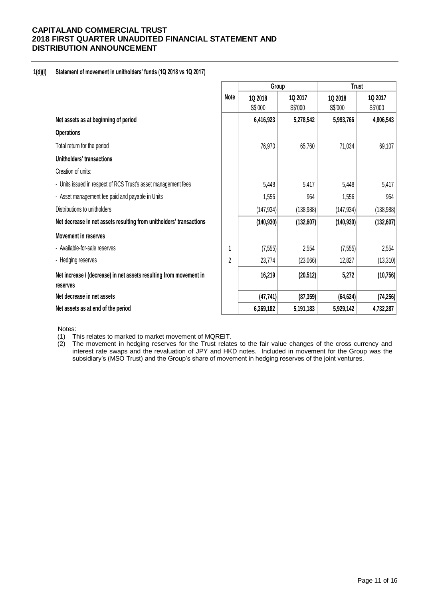### **1(d)(i) Statement of movement in unitholders' funds (1Q 2018 vs 1Q 2017)**

|                                                                                | Group          |            | <b>Trust</b> |            |            |
|--------------------------------------------------------------------------------|----------------|------------|--------------|------------|------------|
|                                                                                | Note           | 10 2018    | 1Q 2017      | 1Q 2018    | 1Q 2017    |
|                                                                                |                | S\$'000    | S\$'000      | S\$'000    | S\$'000    |
| Net assets as at beginning of period                                           |                | 6,416,923  | 5,278,542    | 5,993,766  | 4,806,543  |
| <b>Operations</b>                                                              |                |            |              |            |            |
| Total return for the period                                                    |                | 76,970     | 65,760       | 71,034     | 69,107     |
| Unitholders' transactions                                                      |                |            |              |            |            |
| Creation of units:                                                             |                |            |              |            |            |
| - Units issued in respect of RCS Trust's asset management fees                 |                | 5,448      | 5,417        | 5,448      | 5,417      |
| - Asset management fee paid and payable in Units                               |                | 1,556      | 964          | 1,556      | 964        |
| Distributions to unitholders                                                   |                | (147, 934) | (138,988)    | (147, 934) | (138, 988) |
| Net decrease in net assets resulting from unitholders' transactions            |                | (140, 930) | (132,607)    | (140, 930) | (132, 607) |
| <b>Movement in reserves</b>                                                    |                |            |              |            |            |
| - Available-for-sale reserves                                                  |                | (7, 555)   | 2,554        | (7, 555)   | 2,554      |
| - Hedging reserves                                                             | $\overline{c}$ | 23,774     | (23,066)     | 12,827     | (13, 310)  |
| Net increase / (decrease) in net assets resulting from movement in<br>reserves |                | 16,219     | (20, 512)    | 5,272      | (10, 756)  |
| Net decrease in net assets                                                     |                | (47, 741)  | (87, 359)    | (64, 624)  | (74, 256)  |
| Net assets as at end of the period                                             |                | 6,369,182  | 5,191,183    | 5,929,142  | 4,732,287  |

Notes:

- (1) This relates to marked to market movement of MQREIT.
- (2) The movement in hedging reserves for the Trust relates to the fair value changes of the cross currency and interest rate swaps and the revaluation of JPY and HKD notes. Included in movement for the Group was the subsidiary's (MSO Trust) and the Group's share of movement in hedging reserves of the joint ventures.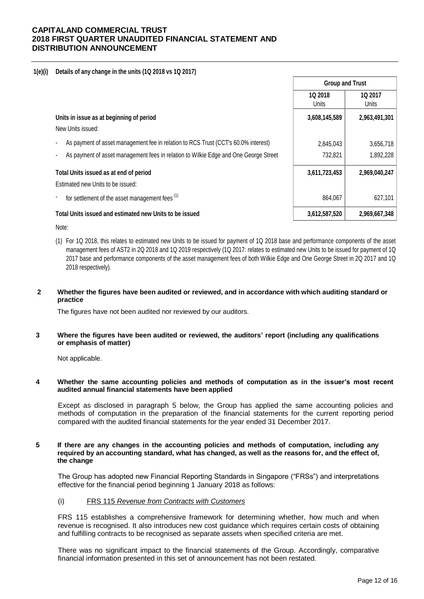### **1(e)(i) Details of any change in the units (1Q 2018 vs 1Q 2017)**

|                                                                                      | <b>Group and Trust</b> |                         |
|--------------------------------------------------------------------------------------|------------------------|-------------------------|
|                                                                                      | 1Q 2018<br>Units       | <b>1Q 2017</b><br>Units |
| Units in issue as at beginning of period                                             | 3,608,145,589          | 2,963,491,301           |
| New Units issued:                                                                    |                        |                         |
| As payment of asset management fee in relation to RCS Trust (CCT's 60.0% interest)   | 2,845,043              | 3,656,718               |
| As payment of asset management fees in relation to Wilkie Edge and One George Street | 732,821                | 1,892,228               |
| Total Units issued as at end of period                                               | 3,611,723,453          | 2,969,040,247           |
| Estimated new Units to be issued:                                                    |                        |                         |
| for settlement of the asset management fees <sup>(1)</sup>                           | 864.067                | 627,101                 |
| Total Units issued and estimated new Units to be issued                              | 3,612,587,520          | 2,969,667,348           |

Note:

(1) For 1Q 2018, this relates to estimated new Units to be issued for payment of 1Q 2018 base and performance components of the asset management fees of AST2 in 2Q 2018 and 1Q 2019 respectively (1Q 2017: relates to estimated new Units to be issued for payment of 1Q 2017 base and performance components of the asset management fees of both Wilkie Edge and One George Street in 2Q 2017 and 1Q 2018 respectively).

### **2 Whether the figures have been audited or reviewed, and in accordance with which auditing standard or practice**

The figures have not been audited nor reviewed by our auditors.

**3 Where the figures have been audited or reviewed, the auditors' report (including any qualifications or emphasis of matter)**

Not applicable.

#### **4 Whether the same accounting policies and methods of computation as in the issuer's most recent audited annual financial statements have been applied**

Except as disclosed in paragraph 5 below, the Group has applied the same accounting policies and methods of computation in the preparation of the financial statements for the current reporting period compared with the audited financial statements for the year ended 31 December 2017.

#### **5 If there are any changes in the accounting policies and methods of computation, including any required by an accounting standard, what has changed, as well as the reasons for, and the effect of, the change**

The Group has adopted new Financial Reporting Standards in Singapore ("FRSs") and interpretations effective for the financial period beginning 1 January 2018 as follows:

### (i) FRS 115 *Revenue from Contracts with Customers*

FRS 115 establishes a comprehensive framework for determining whether, how much and when revenue is recognised. It also introduces new cost guidance which requires certain costs of obtaining and fulfilling contracts to be recognised as separate assets when specified criteria are met.

There was no significant impact to the financial statements of the Group. Accordingly, comparative financial information presented in this set of announcement has not been restated.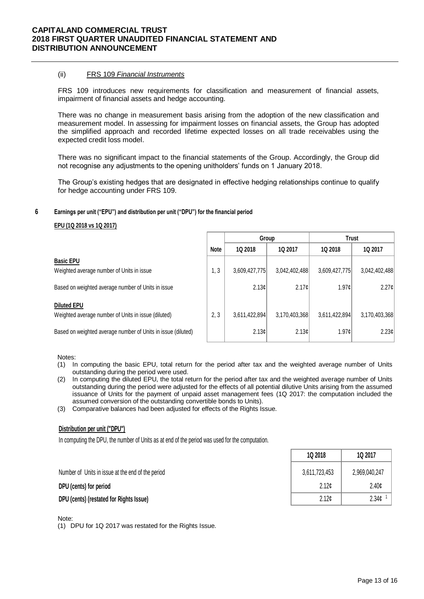#### (ii) FRS 109 *Financial Instruments*

FRS 109 introduces new requirements for classification and measurement of financial assets, impairment of financial assets and hedge accounting.

There was no change in measurement basis arising from the adoption of the new classification and measurement model. In assessing for impairment losses on financial assets, the Group has adopted the simplified approach and recorded lifetime expected losses on all trade receivables using the expected credit loss model.

There was no significant impact to the financial statements of the Group. Accordingly, the Group did not recognise any adjustments to the opening unitholders' funds on 1 January 2018.

The Group's existing hedges that are designated in effective hedging relationships continue to qualify for hedge accounting under FRS 109.

#### **6 Earnings per unit ("EPU") and distribution per unit ("DPU") for the financial period**

#### **EPU (1Q 2018 vs 1Q 2017)**

|                                                              |             | Group             |               | <b>Trust</b>  |                 |
|--------------------------------------------------------------|-------------|-------------------|---------------|---------------|-----------------|
|                                                              | <b>Note</b> | 1Q 2018           | 1Q 2017       | 1Q 2018       | 1Q 2017         |
| <b>Basic EPU</b>                                             |             |                   |               |               |                 |
| Weighted average number of Units in issue                    | 1, 3        | 3,609,427,775     | 3,042,402,488 | 3,609,427,775 | 3,042,402,488   |
| Based on weighted average number of Units in issue           |             | 2.13c             | 2.17c         | 1.97c         | $2.27 \text{C}$ |
| <b>Diluted EPU</b>                                           |             |                   |               |               |                 |
| Weighted average number of Units in issue (diluted)          | 2, 3        | 3,611,422,894     | 3,170,403,368 | 3,611,422,894 | 3,170,403,368   |
| Based on weighted average number of Units in issue (diluted) |             | 2.13 <sub>0</sub> | 2.13c         | 1.97c         | 2.23¢           |

#### Notes:

- (1) In computing the basic EPU, total return for the period after tax and the weighted average number of Units outstanding during the period were used.
- (2) In computing the diluted EPU, the total return for the period after tax and the weighted average number of Units outstanding during the period were adjusted for the effects of all potential dilutive Units arising from the assumed issuance of Units for the payment of unpaid asset management fees (1Q 2017: the computation included the assumed conversion of the outstanding convertible bonds to Units).
- (3) Comparative balances had been adjusted for effects of the Rights Issue.

#### **Distribution per unit ("DPU")**

In computing the DPU, the number of Units as at end of the period was used for the computation.

| 1Q 2018       | 1Q 2017           |  |
|---------------|-------------------|--|
| 3,611,723,453 | 2,969,040,247     |  |
| 2.12c         | 2.40 <sub>c</sub> |  |
| 2.12c         | 2.34 <sub>c</sub> |  |

Number of Units in issue at the end of the period

**DPU** (cents) for period

**DPU (cents) (restated for Rights Issue)** 

### Note:

(1) DPU for 1Q 2017 was restated for the Rights Issue.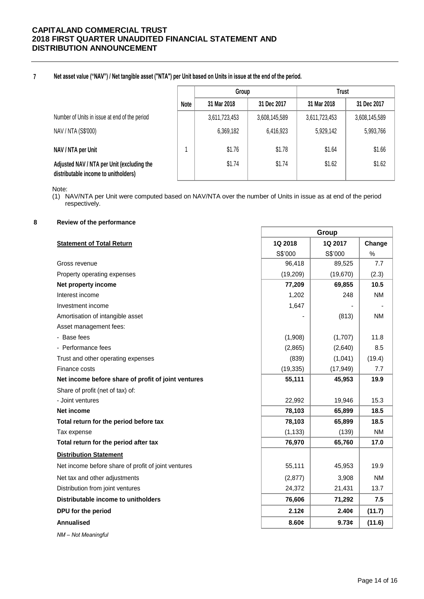#### **7 Net asset value ("NAV") / Net tangible asset ("NTA") per Unit based on Units in issue at the end of the period.**

|                                                                                    |             | Group         |               | Trust         |               |  |
|------------------------------------------------------------------------------------|-------------|---------------|---------------|---------------|---------------|--|
|                                                                                    | <b>Note</b> | 31 Mar 2018   | 31 Dec 2017   | 31 Mar 2018   | 31 Dec 2017   |  |
| Number of Units in issue at end of the period                                      |             | 3,611,723,453 | 3,608,145,589 | 3,611,723,453 | 3,608,145,589 |  |
| NAV / NTA (S\$'000)                                                                |             | 6,369,182     | 6,416,923     | 5,929,142     | 5,993,766     |  |
| NAV / NTA per Unit                                                                 |             | \$1.76        | \$1.78        | \$1.64        | \$1.66        |  |
| Adjusted NAV / NTA per Unit (excluding the<br>distributable income to unitholders) |             | \$1.74        | \$1.74        | \$1.62        | \$1.62        |  |

Note:

(1) NAV/NTA per Unit were computed based on NAV/NTA over the number of Units in issue as at end of the period respectively.

Г

### **8 Review of the performance**

|                                                     | Group     |           |           |
|-----------------------------------------------------|-----------|-----------|-----------|
| <b>Statement of Total Return</b>                    | 1Q 2018   | 1Q 2017   | Change    |
|                                                     | S\$'000   | S\$'000   | %         |
| Gross revenue                                       | 96,418    | 89,525    | 7.7       |
| Property operating expenses                         | (19, 209) | (19, 670) | (2.3)     |
| Net property income                                 | 77,209    | 69,855    | 10.5      |
| Interest income                                     | 1,202     | 248       | <b>NM</b> |
| Investment income                                   | 1,647     |           |           |
| Amortisation of intangible asset                    |           | (813)     | <b>NM</b> |
| Asset management fees:                              |           |           |           |
| - Base fees                                         | (1,908)   | (1,707)   | 11.8      |
| - Performance fees                                  | (2,865)   | (2,640)   | 8.5       |
| Trust and other operating expenses                  | (839)     | (1,041)   | (19.4)    |
| Finance costs                                       | (19, 335) | (17, 949) | 7.7       |
| Net income before share of profit of joint ventures | 55,111    | 45,953    | 19.9      |
| Share of profit (net of tax) of:                    |           |           |           |
| - Joint ventures                                    | 22,992    | 19,946    | 15.3      |
| <b>Net income</b>                                   | 78,103    | 65,899    | 18.5      |
| Total return for the period before tax              | 78,103    | 65,899    | 18.5      |
| Tax expense                                         | (1, 133)  | (139)     | <b>NM</b> |
| Total return for the period after tax               | 76,970    | 65,760    | 17.0      |
| <b>Distribution Statement</b>                       |           |           |           |
| Net income before share of profit of joint ventures | 55,111    | 45,953    | 19.9      |
| Net tax and other adjustments                       | (2, 877)  | 3,908     | <b>NM</b> |
| Distribution from joint ventures                    | 24,372    | 21,431    | 13.7      |
| Distributable income to unitholders                 | 76,606    | 71,292    | 7.5       |
| DPU for the period                                  | 2.12¢     | 2.40¢     | (11.7)    |
| <b>Annualised</b>                                   | 8.60¢     | 9.73c     | (11.6)    |
| NM - Not Meaningful                                 |           |           |           |

ī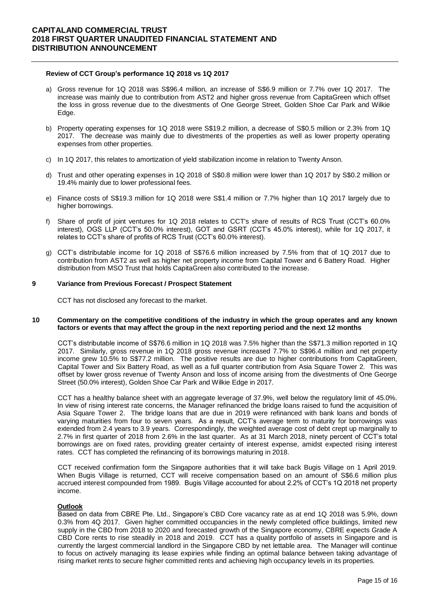#### **Review of CCT Group's performance 1Q 2018 vs 1Q 2017**

- a) Gross revenue for 1Q 2018 was S\$96.4 million, an increase of S\$6.9 million or 7.7% over 1Q 2017. The increase was mainly due to contribution from AST2 and higher gross revenue from CapitaGreen which offset the loss in gross revenue due to the divestments of One George Street, Golden Shoe Car Park and Wilkie Edge.
- b) Property operating expenses for 1Q 2018 were S\$19.2 million, a decrease of S\$0.5 million or 2.3% from 1Q 2017. The decrease was mainly due to divestments of the properties as well as lower property operating expenses from other properties.
- c) In 1Q 2017, this relates to amortization of yield stabilization income in relation to Twenty Anson.
- d) Trust and other operating expenses in 1Q 2018 of S\$0.8 million were lower than 1Q 2017 by S\$0.2 million or 19.4% mainly due to lower professional fees.
- e) Finance costs of S\$19.3 million for 1Q 2018 were S\$1.4 million or 7.7% higher than 1Q 2017 largely due to higher borrowings.
- f) Share of profit of joint ventures for 1Q 2018 relates to CCT's share of results of RCS Trust (CCT's 60.0% interest), OGS LLP (CCT's 50.0% interest), GOT and GSRT (CCT's 45.0% interest), while for 1Q 2017, it relates to CCT's share of profits of RCS Trust (CCT's 60.0% interest).
- g) CCT's distributable income for 1Q 2018 of S\$76.6 million increased by 7.5% from that of 1Q 2017 due to contribution from AST2 as well as higher net property income from Capital Tower and 6 Battery Road. Higher distribution from MSO Trust that holds CapitaGreen also contributed to the increase.

#### **9 Variance from Previous Forecast / Prospect Statement**

CCT has not disclosed any forecast to the market.

#### **10 Commentary on the competitive conditions of the industry in which the group operates and any known factors or events that may affect the group in the next reporting period and the next 12 months**

CCT's distributable income of S\$76.6 million in 1Q 2018 was 7.5% higher than the S\$71.3 million reported in 1Q 2017. Similarly, gross revenue in 1Q 2018 gross revenue increased 7.7% to S\$96.4 million and net property income grew 10.5% to S\$77.2 million. The positive results are due to higher contributions from CapitaGreen, Capital Tower and Six Battery Road, as well as a full quarter contribution from Asia Square Tower 2. This was offset by lower gross revenue of Twenty Anson and loss of income arising from the divestments of One George Street (50.0% interest), Golden Shoe Car Park and Wilkie Edge in 2017.

CCT has a healthy balance sheet with an aggregate leverage of 37.9%, well below the regulatory limit of 45.0%. In view of rising interest rate concerns, the Manager refinanced the bridge loans raised to fund the acquisition of Asia Square Tower 2. The bridge loans that are due in 2019 were refinanced with bank loans and bonds of varying maturities from four to seven years. As a result, CCT's average term to maturity for borrowings was extended from 2.4 years to 3.9 years. Correspondingly, the weighted average cost of debt crept up marginally to 2.7% in first quarter of 2018 from 2.6% in the last quarter. As at 31 March 2018, ninety percent of CCT's total borrowings are on fixed rates, providing greater certainty of interest expense, amidst expected rising interest rates. CCT has completed the refinancing of its borrowings maturing in 2018.

CCT received confirmation form the Singapore authorities that it will take back Bugis Village on 1 April 2019. When Bugis Village is returned, CCT will receive compensation based on an amount of S\$6.6 million plus accrued interest compounded from 1989. Bugis Village accounted for about 2.2% of CCT's 1Q 2018 net property income.

#### **Outlook**

Based on data from CBRE Pte. Ltd., Singapore's CBD Core vacancy rate as at end 1Q 2018 was 5.9%, down 0.3% from 4Q 2017. Given higher committed occupancies in the newly completed office buildings, limited new supply in the CBD from 2018 to 2020 and forecasted growth of the Singapore economy, CBRE expects Grade A CBD Core rents to rise steadily in 2018 and 2019. CCT has a quality portfolio of assets in Singapore and is currently the largest commercial landlord in the Singapore CBD by net lettable area. The Manager will continue to focus on actively managing its lease expiries while finding an optimal balance between taking advantage of rising market rents to secure higher committed rents and achieving high occupancy levels in its properties.